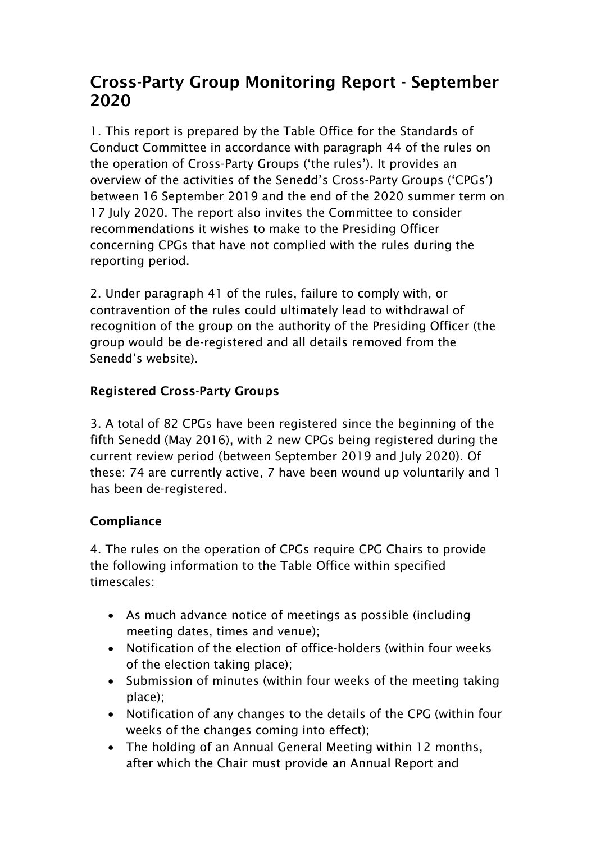# Cross-Party Group Monitoring Report - September 2020

1. This report is prepared by the Table Office for the Standards of Conduct Committee in accordance with paragraph 44 of the rules on the operation of Cross-Party Groups ('the rules'). It provides an overview of the activities of the Senedd's Cross-Party Groups ('CPGs') between 16 September 2019 and the end of the 2020 summer term on 17 July 2020. The report also invites the Committee to consider recommendations it wishes to make to the Presiding Officer concerning CPGs that have not complied with the rules during the reporting period.

2. Under paragraph 41 of the rules, failure to comply with, or contravention of the rules could ultimately lead to withdrawal of recognition of the group on the authority of the Presiding Officer (the group would be de-registered and all details removed from the Senedd's website).

#### Registered Cross-Party Groups

3. A total of 82 CPGs have been registered since the beginning of the fifth Senedd (May 2016), with 2 new CPGs being registered during the current review period (between September 2019 and July 2020). Of these: 74 are currently active, 7 have been wound up voluntarily and 1 has been de-registered.

#### **Compliance**

4. The rules on the operation of CPGs require CPG Chairs to provide the following information to the Table Office within specified timescales:

- As much advance notice of meetings as possible (including meeting dates, times and venue);
- Notification of the election of office-holders (within four weeks of the election taking place);
- Submission of minutes (within four weeks of the meeting taking place);
- Notification of any changes to the details of the CPG (within four weeks of the changes coming into effect);
- The holding of an Annual General Meeting within 12 months, after which the Chair must provide an Annual Report and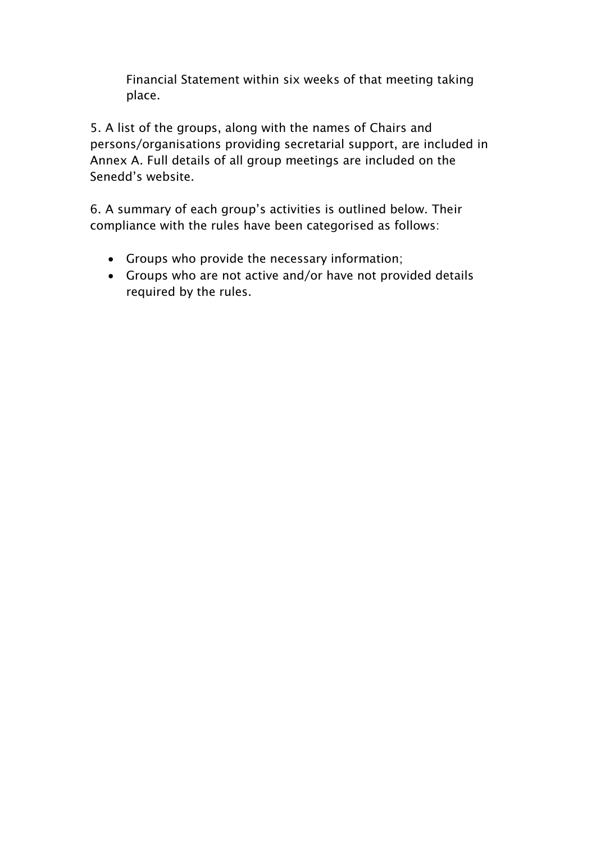Financial Statement within six weeks of that meeting taking place.

5. A list of the groups, along with the names of Chairs and persons/organisations providing secretarial support, are included in Annex A. Full details of all group meetings are included on the Senedd's website.

6. A summary of each group's activities is outlined below. Their compliance with the rules have been categorised as follows:

- Groups who provide the necessary information;
- Groups who are not active and/or have not provided details required by the rules.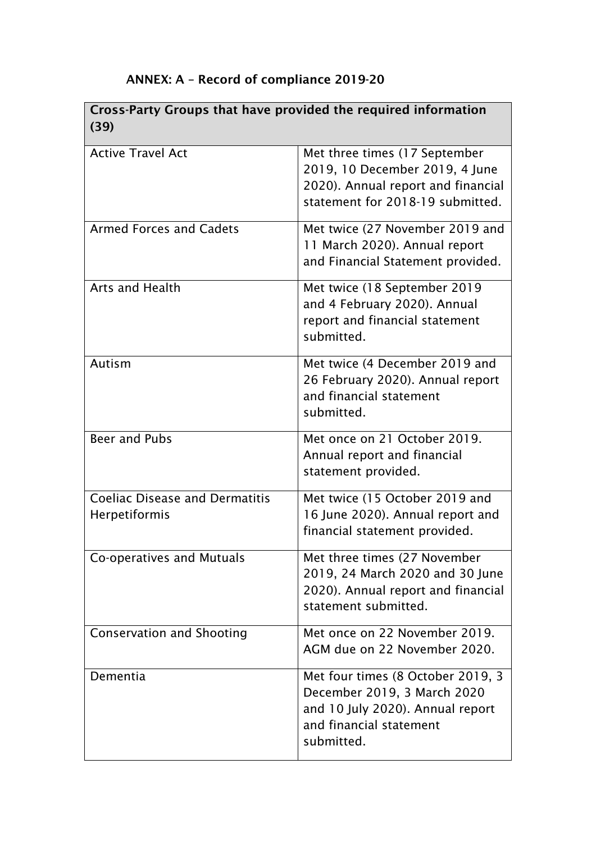| Cross-Party Groups that have provided the required information<br>(39) |                                                                                                                                               |  |  |
|------------------------------------------------------------------------|-----------------------------------------------------------------------------------------------------------------------------------------------|--|--|
| <b>Active Travel Act</b>                                               | Met three times (17 September<br>2019, 10 December 2019, 4 June<br>2020). Annual report and financial<br>statement for 2018-19 submitted.     |  |  |
| <b>Armed Forces and Cadets</b>                                         | Met twice (27 November 2019 and<br>11 March 2020). Annual report<br>and Financial Statement provided.                                         |  |  |
| <b>Arts and Health</b>                                                 | Met twice (18 September 2019<br>and 4 February 2020). Annual<br>report and financial statement<br>submitted.                                  |  |  |
| Autism                                                                 | Met twice (4 December 2019 and<br>26 February 2020). Annual report<br>and financial statement<br>submitted.                                   |  |  |
| <b>Beer and Pubs</b>                                                   | Met once on 21 October 2019.<br>Annual report and financial<br>statement provided.                                                            |  |  |
| <b>Coeliac Disease and Dermatitis</b><br>Herpetiformis                 | Met twice (15 October 2019 and<br>16 June 2020). Annual report and<br>financial statement provided.                                           |  |  |
| Co-operatives and Mutuals                                              | Met three times (27 November<br>2019, 24 March 2020 and 30 June<br>2020). Annual report and financial<br>statement submitted.                 |  |  |
| <b>Conservation and Shooting</b>                                       | Met once on 22 November 2019.<br>AGM due on 22 November 2020.                                                                                 |  |  |
| Dementia                                                               | Met four times (8 October 2019, 3<br>December 2019, 3 March 2020<br>and 10 July 2020). Annual report<br>and financial statement<br>submitted. |  |  |

## ANNEX: A – Record of compliance 2019-20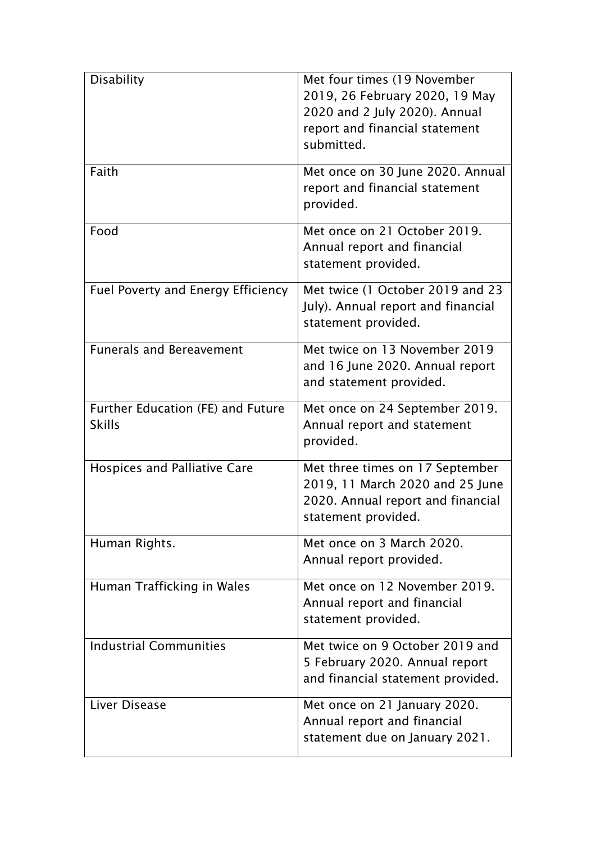| <b>Disability</b>                                  | Met four times (19 November<br>2019, 26 February 2020, 19 May<br>2020 and 2 July 2020). Annual<br>report and financial statement<br>submitted. |
|----------------------------------------------------|------------------------------------------------------------------------------------------------------------------------------------------------|
| Faith                                              | Met once on 30 June 2020. Annual<br>report and financial statement<br>provided.                                                                |
| Food                                               | Met once on 21 October 2019.<br>Annual report and financial<br>statement provided.                                                             |
| Fuel Poverty and Energy Efficiency                 | Met twice (1 October 2019 and 23<br>July). Annual report and financial<br>statement provided.                                                  |
| <b>Funerals and Bereavement</b>                    | Met twice on 13 November 2019<br>and 16 June 2020. Annual report<br>and statement provided.                                                    |
| Further Education (FE) and Future<br><b>Skills</b> | Met once on 24 September 2019.<br>Annual report and statement<br>provided.                                                                     |
| <b>Hospices and Palliative Care</b>                | Met three times on 17 September<br>2019, 11 March 2020 and 25 June<br>2020. Annual report and financial<br>statement provided.                 |
| Human Rights.                                      | Met once on 3 March 2020.<br>Annual report provided.                                                                                           |
| Human Trafficking in Wales                         | Met once on 12 November 2019.<br>Annual report and financial<br>statement provided.                                                            |
| <b>Industrial Communities</b>                      | Met twice on 9 October 2019 and<br>5 February 2020. Annual report<br>and financial statement provided.                                         |
| Liver Disease                                      | Met once on 21 January 2020.<br>Annual report and financial<br>statement due on January 2021.                                                  |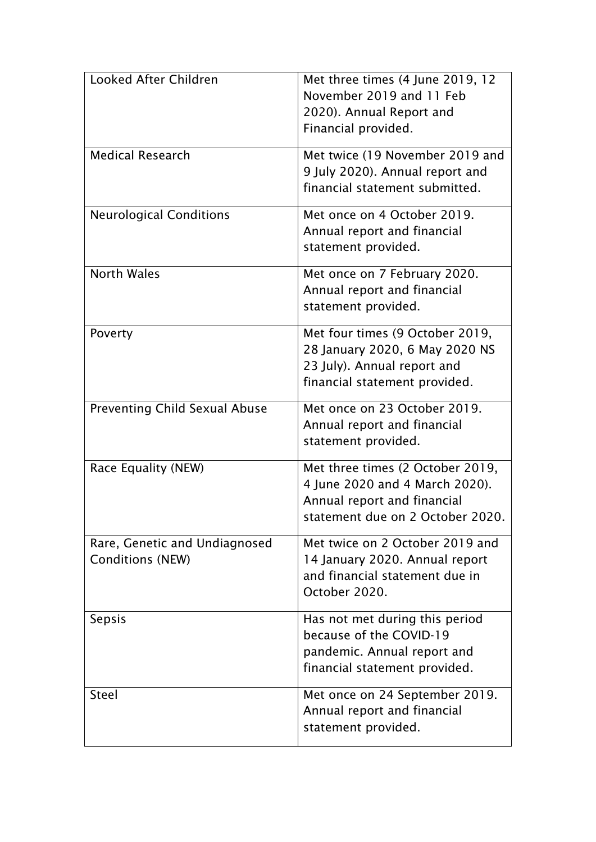| Looked After Children                                    | Met three times (4 June 2019, 12<br>November 2019 and 11 Feb<br>2020). Annual Report and<br>Financial provided.                       |
|----------------------------------------------------------|---------------------------------------------------------------------------------------------------------------------------------------|
| <b>Medical Research</b>                                  | Met twice (19 November 2019 and<br>9 July 2020). Annual report and<br>financial statement submitted.                                  |
| <b>Neurological Conditions</b>                           | Met once on 4 October 2019.<br>Annual report and financial<br>statement provided.                                                     |
| <b>North Wales</b>                                       | Met once on 7 February 2020.<br>Annual report and financial<br>statement provided.                                                    |
| Poverty                                                  | Met four times (9 October 2019,<br>28 January 2020, 6 May 2020 NS<br>23 July). Annual report and<br>financial statement provided.     |
| <b>Preventing Child Sexual Abuse</b>                     | Met once on 23 October 2019.<br>Annual report and financial<br>statement provided.                                                    |
| Race Equality (NEW)                                      | Met three times (2 October 2019,<br>4 June 2020 and 4 March 2020).<br>Annual report and financial<br>statement due on 2 October 2020. |
| Rare, Genetic and Undiagnosed<br><b>Conditions (NEW)</b> | Met twice on 2 October 2019 and<br>14 January 2020. Annual report<br>and financial statement due in<br>October 2020.                  |
| <b>Sepsis</b>                                            | Has not met during this period<br>because of the COVID-19<br>pandemic. Annual report and<br>financial statement provided.             |
| <b>Steel</b>                                             | Met once on 24 September 2019.<br>Annual report and financial<br>statement provided.                                                  |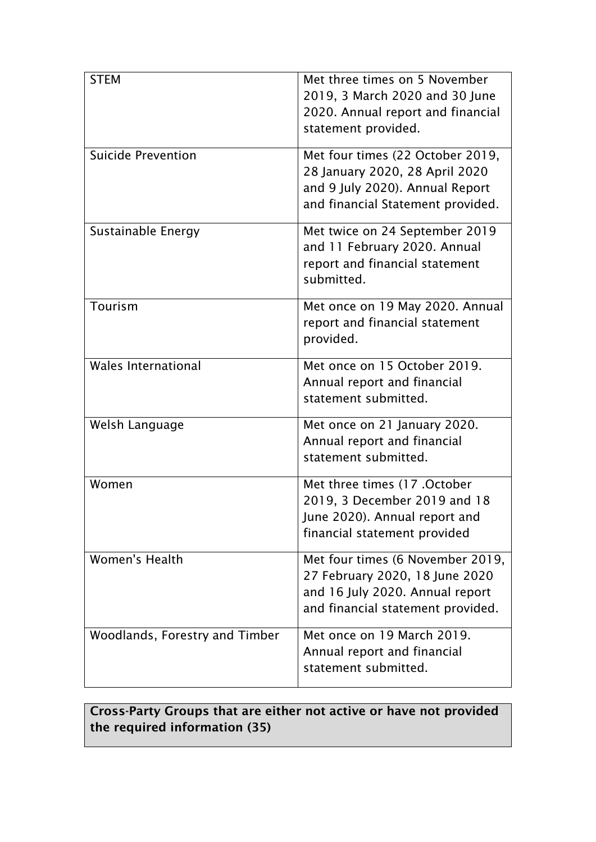| <b>STEM</b>                    | Met three times on 5 November<br>2019, 3 March 2020 and 30 June<br>2020. Annual report and financial<br>statement provided.                |
|--------------------------------|--------------------------------------------------------------------------------------------------------------------------------------------|
| <b>Suicide Prevention</b>      | Met four times (22 October 2019,<br>28 January 2020, 28 April 2020<br>and 9 July 2020). Annual Report<br>and financial Statement provided. |
| Sustainable Energy             | Met twice on 24 September 2019<br>and 11 February 2020. Annual<br>report and financial statement<br>submitted.                             |
| Tourism                        | Met once on 19 May 2020. Annual<br>report and financial statement<br>provided.                                                             |
| <b>Wales International</b>     | Met once on 15 October 2019.<br>Annual report and financial<br>statement submitted.                                                        |
| Welsh Language                 | Met once on 21 January 2020.<br>Annual report and financial<br>statement submitted.                                                        |
| Women                          | Met three times (17 . October<br>2019, 3 December 2019 and 18<br>June 2020). Annual report and<br>financial statement provided             |
| <b>Women's Health</b>          | Met four times (6 November 2019,<br>27 February 2020, 18 June 2020<br>and 16 July 2020. Annual report<br>and financial statement provided. |
| Woodlands, Forestry and Timber | Met once on 19 March 2019.<br>Annual report and financial<br>statement submitted.                                                          |

#### Cross-Party Groups that are either not active or have not provided the required information (35)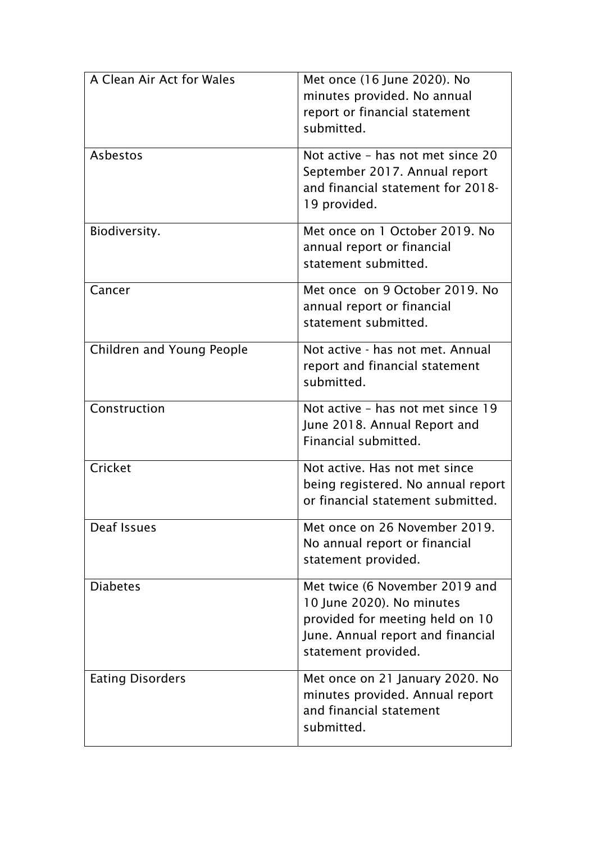| A Clean Air Act for Wales | Met once (16 June 2020). No<br>minutes provided. No annual<br>report or financial statement<br>submitted.                                                  |
|---------------------------|------------------------------------------------------------------------------------------------------------------------------------------------------------|
| Asbestos                  | Not active - has not met since 20<br>September 2017. Annual report<br>and financial statement for 2018-<br>19 provided.                                    |
| Biodiversity.             | Met once on 1 October 2019. No<br>annual report or financial<br>statement submitted.                                                                       |
| Cancer                    | Met once on 9 October 2019. No<br>annual report or financial<br>statement submitted.                                                                       |
| Children and Young People | Not active - has not met. Annual<br>report and financial statement<br>submitted.                                                                           |
| Construction              | Not active - has not met since 19<br>June 2018. Annual Report and<br>Financial submitted.                                                                  |
| Cricket                   | Not active. Has not met since<br>being registered. No annual report<br>or financial statement submitted.                                                   |
| Deaf Issues               | Met once on 26 November 2019.<br>No annual report or financial<br>statement provided.                                                                      |
| <b>Diabetes</b>           | Met twice (6 November 2019 and<br>10 June 2020). No minutes<br>provided for meeting held on 10<br>June. Annual report and financial<br>statement provided. |
| <b>Eating Disorders</b>   | Met once on 21 January 2020. No<br>minutes provided. Annual report<br>and financial statement<br>submitted.                                                |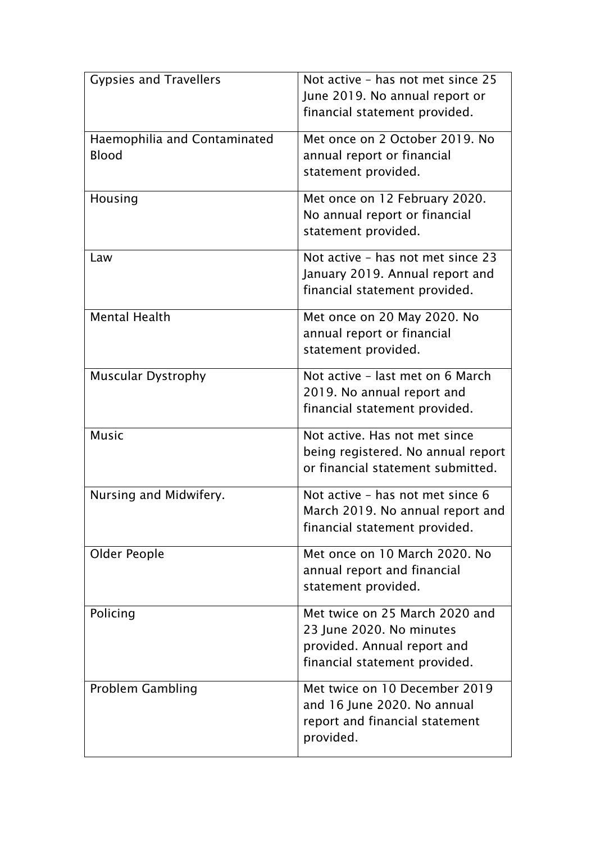| <b>Gypsies and Travellers</b>                | Not active - has not met since 25<br>June 2019. No annual report or<br>financial statement provided.                       |
|----------------------------------------------|----------------------------------------------------------------------------------------------------------------------------|
| Haemophilia and Contaminated<br><b>Blood</b> | Met once on 2 October 2019. No<br>annual report or financial<br>statement provided.                                        |
| Housing                                      | Met once on 12 February 2020.<br>No annual report or financial<br>statement provided.                                      |
| Law                                          | Not active - has not met since 23<br>January 2019. Annual report and<br>financial statement provided.                      |
| <b>Mental Health</b>                         | Met once on 20 May 2020. No<br>annual report or financial<br>statement provided.                                           |
| <b>Muscular Dystrophy</b>                    | Not active - last met on 6 March<br>2019. No annual report and<br>financial statement provided.                            |
| <b>Music</b>                                 | Not active. Has not met since<br>being registered. No annual report<br>or financial statement submitted.                   |
| Nursing and Midwifery.                       | Not active - has not met since 6<br>March 2019. No annual report and<br>financial statement provided.                      |
| Older People                                 | Met once on 10 March 2020. No<br>annual report and financial<br>statement provided.                                        |
| Policing                                     | Met twice on 25 March 2020 and<br>23 June 2020. No minutes<br>provided. Annual report and<br>financial statement provided. |
| <b>Problem Gambling</b>                      | Met twice on 10 December 2019<br>and 16 June 2020. No annual<br>report and financial statement<br>provided.                |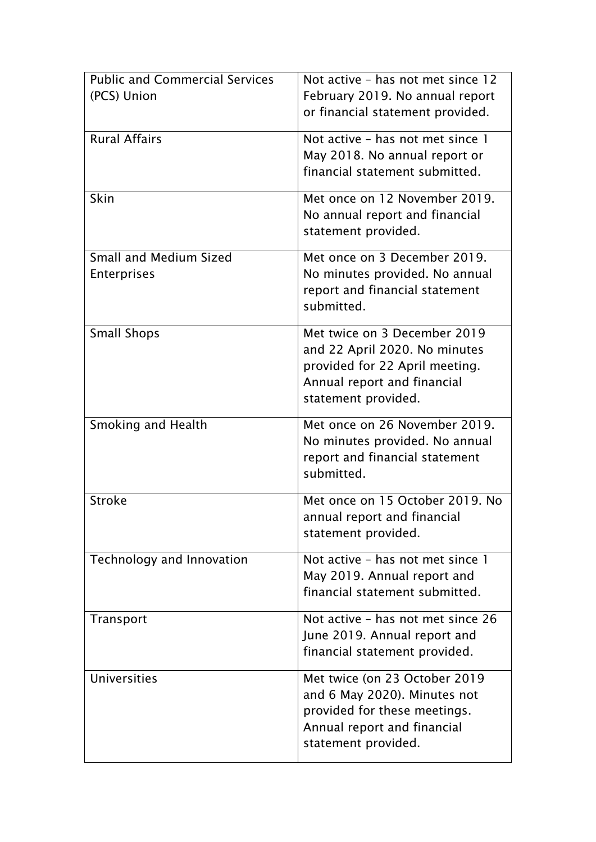| <b>Public and Commercial Services</b> | Not active - has not met since 12                               |  |
|---------------------------------------|-----------------------------------------------------------------|--|
| (PCS) Union                           | February 2019. No annual report                                 |  |
|                                       | or financial statement provided.                                |  |
| <b>Rural Affairs</b>                  | Not active - has not met since 1                                |  |
|                                       | May 2018. No annual report or                                   |  |
|                                       | financial statement submitted.                                  |  |
| Skin                                  | Met once on 12 November 2019.                                   |  |
|                                       | No annual report and financial                                  |  |
|                                       | statement provided.                                             |  |
| <b>Small and Medium Sized</b>         | Met once on 3 December 2019.                                    |  |
| Enterprises                           | No minutes provided. No annual                                  |  |
|                                       | report and financial statement<br>submitted.                    |  |
|                                       |                                                                 |  |
| <b>Small Shops</b>                    | Met twice on 3 December 2019                                    |  |
|                                       | and 22 April 2020. No minutes<br>provided for 22 April meeting. |  |
|                                       | Annual report and financial                                     |  |
|                                       | statement provided.                                             |  |
|                                       | Met once on 26 November 2019.                                   |  |
| <b>Smoking and Health</b>             | No minutes provided. No annual                                  |  |
|                                       | report and financial statement                                  |  |
|                                       | submitted.                                                      |  |
| <b>Stroke</b>                         | Met once on 15 October 2019. No                                 |  |
|                                       | annual report and financial                                     |  |
|                                       | statement provided.                                             |  |
| Technology and Innovation             | Not active - has not met since 1                                |  |
|                                       | May 2019. Annual report and                                     |  |
|                                       | financial statement submitted.                                  |  |
| Transport                             | Not active - has not met since 26                               |  |
|                                       | June 2019. Annual report and                                    |  |
|                                       | financial statement provided.                                   |  |
| <b>Universities</b>                   | Met twice (on 23 October 2019                                   |  |
|                                       | and 6 May 2020). Minutes not                                    |  |
|                                       | provided for these meetings.<br>Annual report and financial     |  |
|                                       | statement provided.                                             |  |
|                                       |                                                                 |  |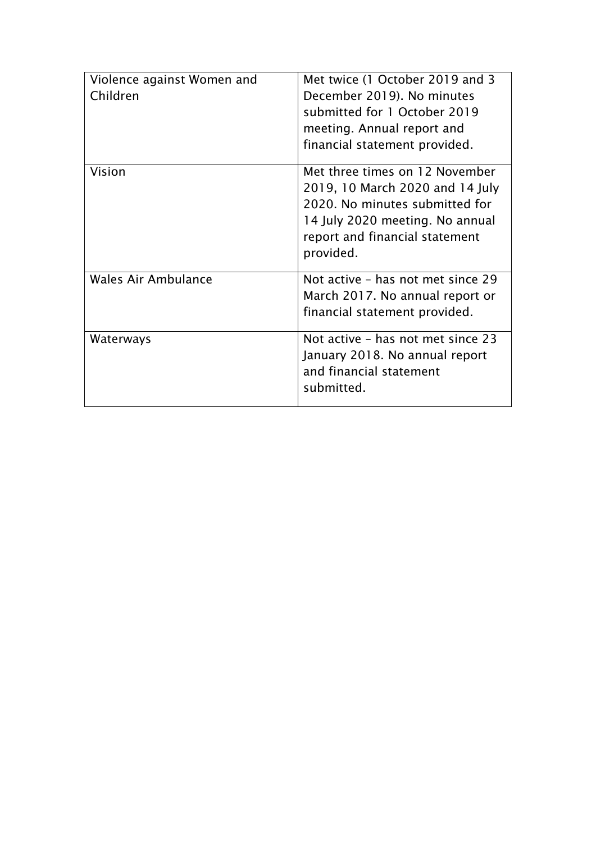| Violence against Women and<br>Children | Met twice (1 October 2019 and 3<br>December 2019). No minutes<br>submitted for 1 October 2019<br>meeting. Annual report and<br>financial statement provided.                          |
|----------------------------------------|---------------------------------------------------------------------------------------------------------------------------------------------------------------------------------------|
| Vision                                 | Met three times on 12 November<br>2019, 10 March 2020 and 14 July<br>2020. No minutes submitted for<br>14 July 2020 meeting. No annual<br>report and financial statement<br>provided. |
| Wales Air Ambulance                    | Not active - has not met since 29<br>March 2017. No annual report or<br>financial statement provided.                                                                                 |
| Waterways                              | Not active - has not met since 23<br>January 2018. No annual report<br>and financial statement<br>submitted.                                                                          |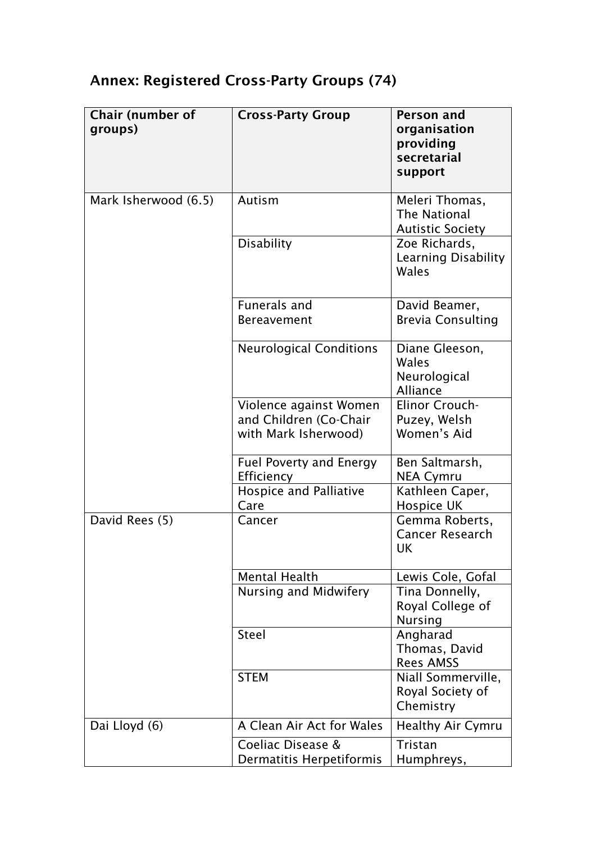# Annex: Registered Cross-Party Groups (74)

| Chair (number of<br>groups) | <b>Cross-Party Group</b>                                                 | <b>Person and</b><br>organisation<br>providing<br>secretarial<br>support |
|-----------------------------|--------------------------------------------------------------------------|--------------------------------------------------------------------------|
| Mark Isherwood (6.5)        | Autism                                                                   | Meleri Thomas,<br><b>The National</b><br><b>Autistic Society</b>         |
|                             | <b>Disability</b>                                                        | Zoe Richards,<br>Learning Disability<br>Wales                            |
|                             | <b>Funerals and</b><br><b>Bereavement</b>                                | David Beamer,<br><b>Brevia Consulting</b>                                |
|                             | <b>Neurological Conditions</b>                                           | Diane Gleeson,<br>Wales<br>Neurological<br>Alliance                      |
|                             | Violence against Women<br>and Children (Co-Chair<br>with Mark Isherwood) | Elinor Crouch-<br>Puzey, Welsh<br>Women's Aid                            |
|                             | <b>Fuel Poverty and Energy</b><br>Efficiency                             | Ben Saltmarsh,<br>NEA Cymru                                              |
|                             | <b>Hospice and Palliative</b><br>Care                                    | Kathleen Caper,<br>Hospice UK                                            |
| David Rees (5)              | Cancer                                                                   | Gemma Roberts,<br><b>Cancer Research</b><br>UK                           |
|                             | <b>Mental Health</b>                                                     | Lewis Cole, Gofal                                                        |
|                             | Nursing and Midwifery                                                    | Tina Donnelly,<br>Royal College of<br><b>Nursing</b>                     |
|                             | <b>Steel</b>                                                             | Angharad<br>Thomas, David<br><b>Rees AMSS</b>                            |
|                             | <b>STEM</b>                                                              | Niall Sommerville,<br>Royal Society of<br>Chemistry                      |
| Dai Lloyd (6)               | A Clean Air Act for Wales                                                | <b>Healthy Air Cymru</b>                                                 |
|                             | Coeliac Disease &<br>Dermatitis Herpetiformis                            | Tristan<br>Humphreys,                                                    |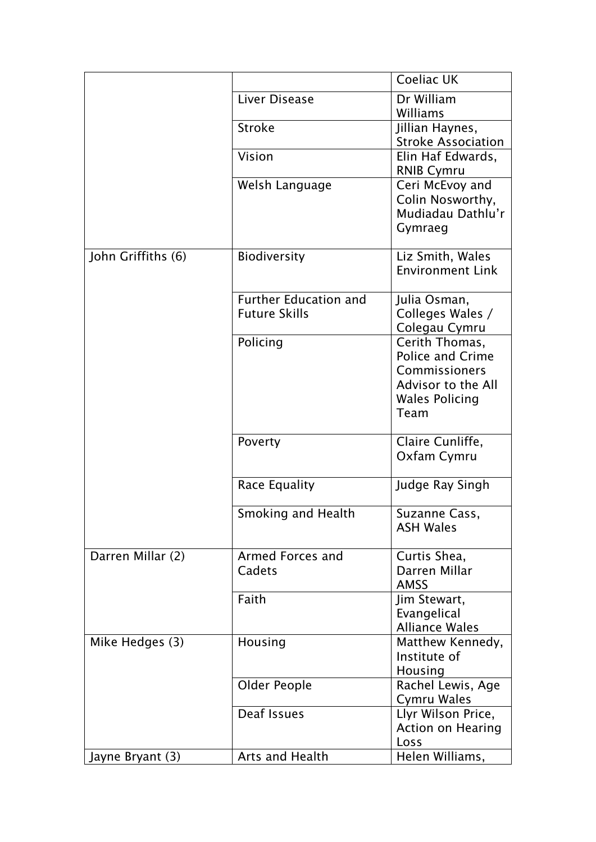|                    |                                                      | Coeliac UK                                                                                                 |
|--------------------|------------------------------------------------------|------------------------------------------------------------------------------------------------------------|
|                    | Liver Disease                                        | Dr William<br>Williams                                                                                     |
|                    | <b>Stroke</b>                                        | Jillian Haynes,<br><b>Stroke Association</b>                                                               |
|                    | Vision                                               | Elin Haf Edwards,<br><b>RNIB Cymru</b>                                                                     |
|                    | Welsh Language                                       | Ceri McEvoy and<br>Colin Nosworthy,<br>Mudiadau Dathlu'r<br>Gymraeg                                        |
| John Griffiths (6) | Biodiversity                                         | Liz Smith, Wales<br><b>Environment Link</b>                                                                |
|                    | <b>Further Education and</b><br><b>Future Skills</b> | Julia Osman,<br>Colleges Wales /<br>Colegau Cymru                                                          |
|                    | Policing                                             | Cerith Thomas,<br>Police and Crime<br>Commissioners<br>Advisor to the All<br><b>Wales Policing</b><br>Team |
|                    | Poverty                                              | Claire Cunliffe,<br>Oxfam Cymru                                                                            |
|                    | Race Equality                                        | Judge Ray Singh                                                                                            |
|                    | Smoking and Health                                   | Suzanne Cass,<br><b>ASH Wales</b>                                                                          |
| Darren Millar (2)  | Armed Forces and<br>Cadets                           | Curtis Shea.<br>Darren Millar<br><b>AMSS</b>                                                               |
|                    | Faith                                                | Jim Stewart,<br>Evangelical<br><b>Alliance Wales</b>                                                       |
| Mike Hedges (3)    | Housing                                              | Matthew Kennedy,<br>Institute of<br>Housing                                                                |
|                    | Older People                                         | Rachel Lewis, Age<br><b>Cymru Wales</b>                                                                    |
|                    | Deaf Issues                                          | Llyr Wilson Price,<br><b>Action on Hearing</b><br>Loss                                                     |
| Jayne Bryant (3)   | Arts and Health                                      | Helen Williams,                                                                                            |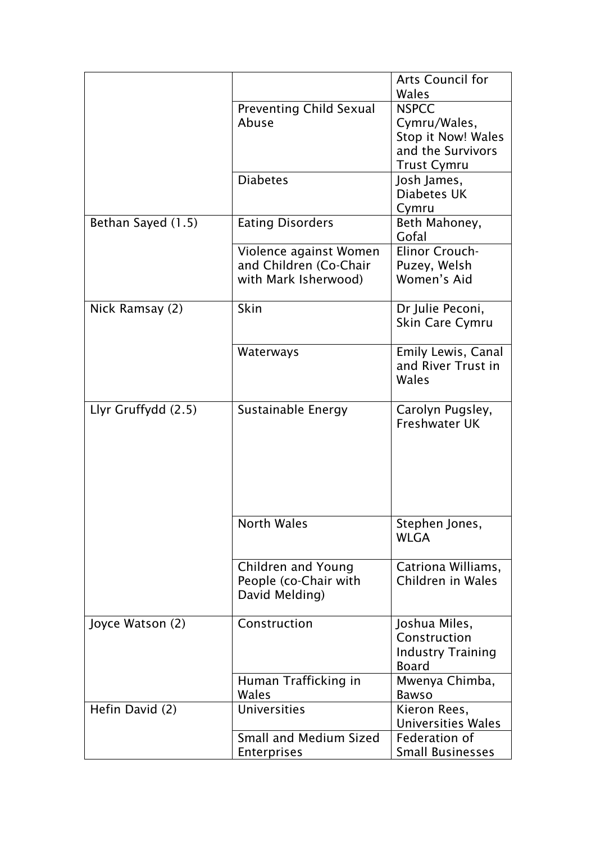|                                | <b>Arts Council for</b>                                                                                                                                                                                                                                    |
|--------------------------------|------------------------------------------------------------------------------------------------------------------------------------------------------------------------------------------------------------------------------------------------------------|
|                                | Wales                                                                                                                                                                                                                                                      |
| <b>Preventing Child Sexual</b> | <b>NSPCC</b>                                                                                                                                                                                                                                               |
| Abuse                          | Cymru/Wales,                                                                                                                                                                                                                                               |
|                                | <b>Stop it Now! Wales</b>                                                                                                                                                                                                                                  |
|                                | and the Survivors                                                                                                                                                                                                                                          |
|                                | <b>Trust Cymru</b>                                                                                                                                                                                                                                         |
|                                | Josh James,                                                                                                                                                                                                                                                |
|                                | Diabetes UK                                                                                                                                                                                                                                                |
|                                | Cymru                                                                                                                                                                                                                                                      |
|                                | Beth Mahoney,                                                                                                                                                                                                                                              |
|                                | Gofal                                                                                                                                                                                                                                                      |
|                                | Elinor Crouch-                                                                                                                                                                                                                                             |
|                                | Puzey, Welsh                                                                                                                                                                                                                                               |
|                                |                                                                                                                                                                                                                                                            |
|                                | Women's Aid                                                                                                                                                                                                                                                |
|                                | Dr Julie Peconi,                                                                                                                                                                                                                                           |
|                                | Skin Care Cymru                                                                                                                                                                                                                                            |
|                                |                                                                                                                                                                                                                                                            |
|                                | Emily Lewis, Canal                                                                                                                                                                                                                                         |
|                                | and River Trust in                                                                                                                                                                                                                                         |
|                                | Wales                                                                                                                                                                                                                                                      |
|                                |                                                                                                                                                                                                                                                            |
|                                | Carolyn Pugsley,                                                                                                                                                                                                                                           |
|                                | <b>Freshwater UK</b>                                                                                                                                                                                                                                       |
|                                |                                                                                                                                                                                                                                                            |
|                                |                                                                                                                                                                                                                                                            |
|                                |                                                                                                                                                                                                                                                            |
|                                |                                                                                                                                                                                                                                                            |
|                                |                                                                                                                                                                                                                                                            |
|                                |                                                                                                                                                                                                                                                            |
| <b>North Wales</b>             | Stephen Jones,                                                                                                                                                                                                                                             |
|                                | <b>WLGA</b>                                                                                                                                                                                                                                                |
|                                |                                                                                                                                                                                                                                                            |
| Children and Young             | Catriona Williams,                                                                                                                                                                                                                                         |
|                                | Children in Wales                                                                                                                                                                                                                                          |
|                                |                                                                                                                                                                                                                                                            |
|                                |                                                                                                                                                                                                                                                            |
| Construction                   | Joshua Miles,                                                                                                                                                                                                                                              |
|                                | Construction                                                                                                                                                                                                                                               |
|                                | <b>Industry Training</b>                                                                                                                                                                                                                                   |
|                                | <b>Board</b>                                                                                                                                                                                                                                               |
|                                | Mwenya Chimba,                                                                                                                                                                                                                                             |
| Wales                          | <b>Bawso</b>                                                                                                                                                                                                                                               |
| <b>Universities</b>            | Kieron Rees,                                                                                                                                                                                                                                               |
|                                | <b>Universities Wales</b>                                                                                                                                                                                                                                  |
| <b>Small and Medium Sized</b>  | Federation of                                                                                                                                                                                                                                              |
|                                | <b>Small Businesses</b>                                                                                                                                                                                                                                    |
|                                | <b>Diabetes</b><br><b>Eating Disorders</b><br>Violence against Women<br>and Children (Co-Chair<br>with Mark Isherwood)<br>Skin<br>Waterways<br>Sustainable Energy<br>People (co-Chair with<br>David Melding)<br>Human Trafficking in<br><b>Enterprises</b> |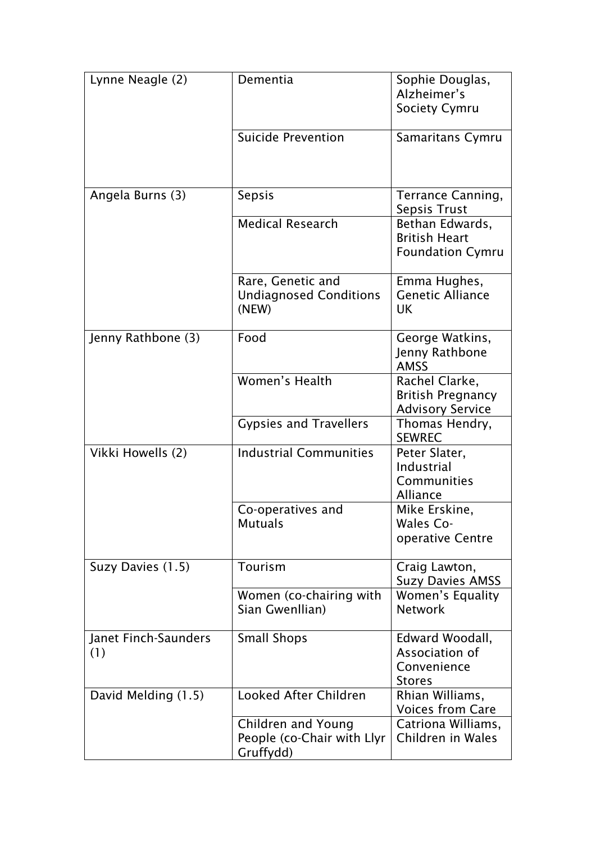| Lynne Neagle (2)            | Dementia                                                      | Sophie Douglas,<br>Alzheimer's<br><b>Society Cymru</b>                |
|-----------------------------|---------------------------------------------------------------|-----------------------------------------------------------------------|
|                             | <b>Suicide Prevention</b>                                     | <b>Samaritans Cymru</b>                                               |
| Angela Burns (3)            | <b>Sepsis</b>                                                 | Terrance Canning,<br>Sepsis Trust                                     |
|                             | <b>Medical Research</b>                                       | Bethan Edwards,<br><b>British Heart</b><br><b>Foundation Cymru</b>    |
|                             | Rare, Genetic and<br><b>Undiagnosed Conditions</b><br>(NEW)   | Emma Hughes,<br><b>Genetic Alliance</b><br>UK                         |
| Jenny Rathbone (3)          | Food                                                          | George Watkins,<br>Jenny Rathbone<br><b>AMSS</b>                      |
|                             | Women's Health                                                | Rachel Clarke,<br><b>British Pregnancy</b><br><b>Advisory Service</b> |
|                             | <b>Gypsies and Travellers</b>                                 | Thomas Hendry,<br><b>SEWREC</b>                                       |
| Vikki Howells (2)           | <b>Industrial Communities</b>                                 | Peter Slater,<br>Industrial<br>Communities<br>Alliance                |
|                             | Co-operatives and<br><b>Mutuals</b>                           | Mike Erskine,<br>Wales Co-<br>operative Centre                        |
| Suzy Davies (1.5)           | Tourism                                                       | Craig Lawton,<br><b>Suzy Davies AMSS</b>                              |
|                             | Women (co-chairing with<br>Sian Gwenllian)                    | Women's Equality<br><b>Network</b>                                    |
| Janet Finch-Saunders<br>(1) | <b>Small Shops</b>                                            | Edward Woodall,<br>Association of<br>Convenience<br><b>Stores</b>     |
| David Melding (1.5)         | Looked After Children                                         | Rhian Williams,<br><b>Voices from Care</b>                            |
|                             | Children and Young<br>People (co-Chair with Llyr<br>Gruffydd) | Catriona Williams,<br>Children in Wales                               |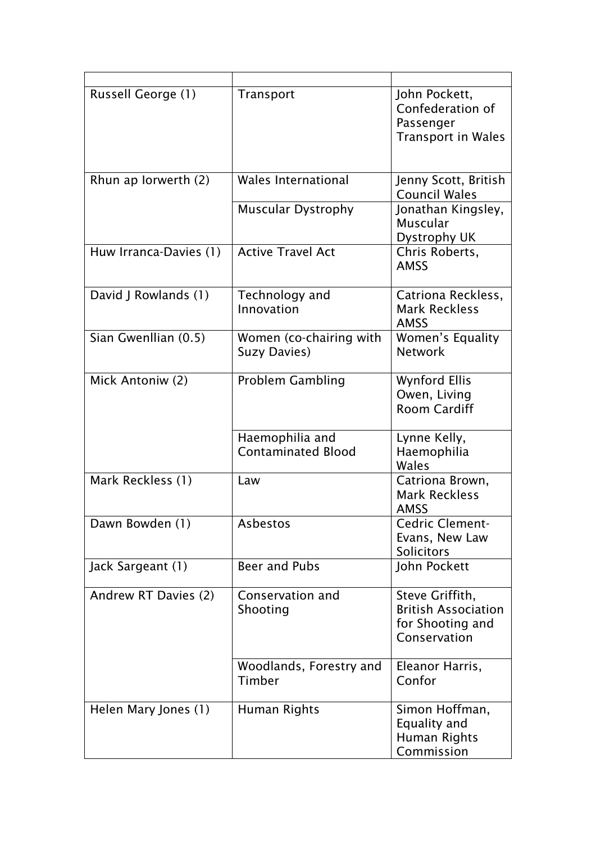| Russell George (1)     | Transport                                    | John Pockett,<br>Confederation of<br>Passenger<br><b>Transport in Wales</b>       |
|------------------------|----------------------------------------------|-----------------------------------------------------------------------------------|
| Rhun ap Iorwerth (2)   | <b>Wales International</b>                   | Jenny Scott, British<br><b>Council Wales</b>                                      |
|                        | <b>Muscular Dystrophy</b>                    | Jonathan Kingsley,<br>Muscular<br>Dystrophy UK                                    |
| Huw Irranca-Davies (1) | <b>Active Travel Act</b>                     | Chris Roberts,<br><b>AMSS</b>                                                     |
| David J Rowlands (1)   | Technology and<br>Innovation                 | Catriona Reckless,<br><b>Mark Reckless</b><br><b>AMSS</b>                         |
| Sian Gwenllian (0.5)   | Women (co-chairing with<br>Suzy Davies)      | Women's Equality<br><b>Network</b>                                                |
| Mick Antoniw (2)       | <b>Problem Gambling</b>                      | <b>Wynford Ellis</b><br>Owen, Living<br><b>Room Cardiff</b>                       |
|                        | Haemophilia and<br><b>Contaminated Blood</b> | Lynne Kelly,<br>Haemophilia<br>Wales                                              |
| Mark Reckless (1)      | Law                                          | Catriona Brown,<br><b>Mark Reckless</b><br>AMSS                                   |
| Dawn Bowden (1)        | Asbestos                                     | Cedric Clement-<br>Evans, New Law<br>Solicitors                                   |
| Jack Sargeant (1)      | Beer and Pubs                                | John Pockett                                                                      |
| Andrew RT Davies (2)   | Conservation and<br>Shooting                 | Steve Griffith,<br><b>British Association</b><br>for Shooting and<br>Conservation |
|                        | Woodlands, Forestry and<br>Timber            | Eleanor Harris,<br>Confor                                                         |
| Helen Mary Jones (1)   | Human Rights                                 | Simon Hoffman,<br>Equality and<br>Human Rights<br>Commission                      |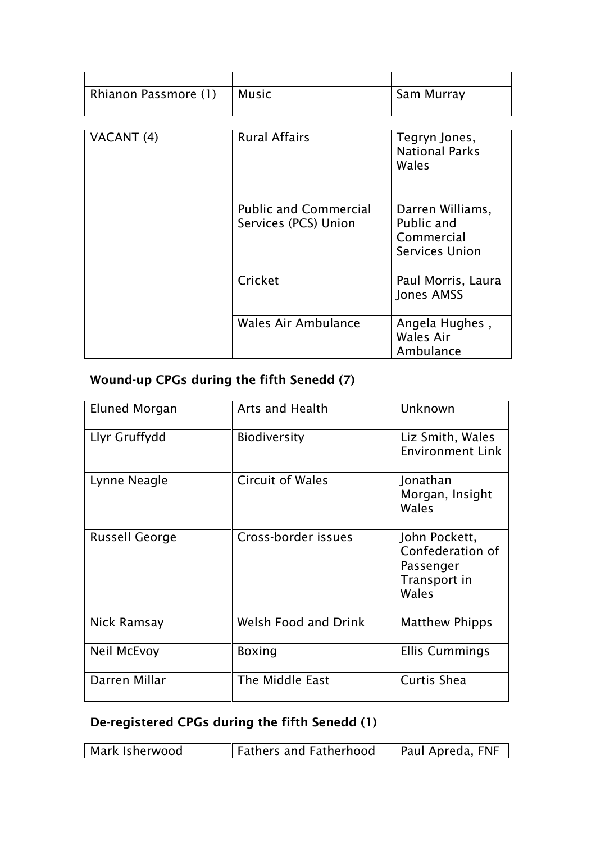| Rhianon Passmore (1) | <b>Music</b>                                         | Sam Murray                                                     |
|----------------------|------------------------------------------------------|----------------------------------------------------------------|
|                      |                                                      |                                                                |
| VACANT (4)           | <b>Rural Affairs</b>                                 | Tegryn Jones,<br><b>National Parks</b><br>Wales                |
|                      | <b>Public and Commercial</b><br>Services (PCS) Union | Darren Williams,<br>Public and<br>Commercial<br>Services Union |
|                      | Cricket                                              | Paul Morris, Laura<br>Jones AMSS                               |
|                      | Wales Air Ambulance                                  | Angela Hughes,<br>Wales Air<br>Ambulance                       |

## Wound-up CPGs during the fifth Senedd (7)

| Eluned Morgan         | <b>Arts and Health</b>  | Unknown                                                                 |
|-----------------------|-------------------------|-------------------------------------------------------------------------|
| Llyr Gruffydd         | <b>Biodiversity</b>     | Liz Smith, Wales<br><b>Environment Link</b>                             |
| Lynne Neagle          | <b>Circuit of Wales</b> | Jonathan<br>Morgan, Insight<br>Wales                                    |
| <b>Russell George</b> | Cross-border issues     | John Pockett,<br>Confederation of<br>Passenger<br>Transport in<br>Wales |
| Nick Ramsay           | Welsh Food and Drink    | <b>Matthew Phipps</b>                                                   |
| Neil McEvoy           | <b>Boxing</b>           | <b>Ellis Cummings</b>                                                   |
| Darren Millar         | The Middle East         | Curtis Shea                                                             |

## De-registered CPGs during the fifth Senedd (1)